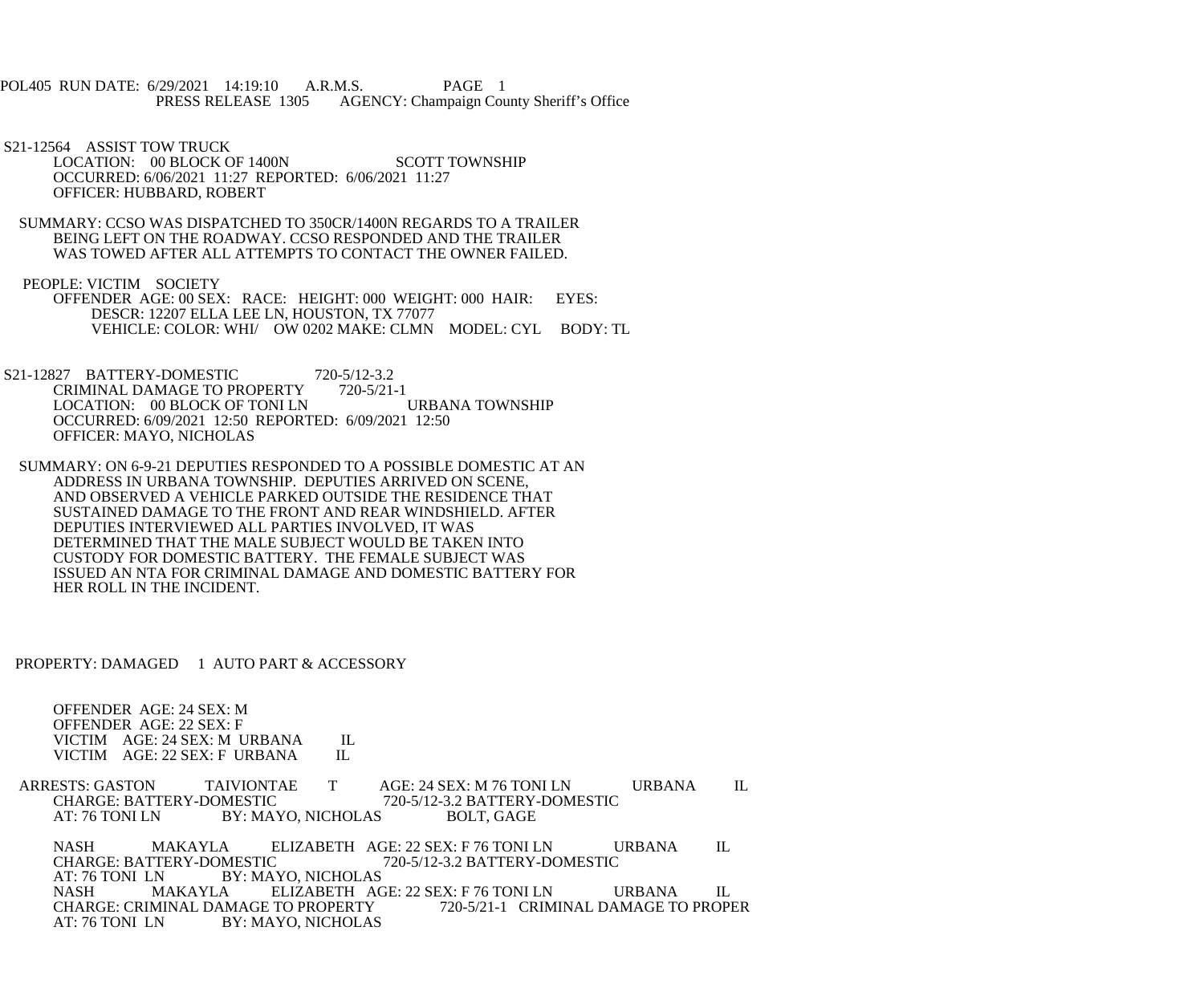POL405 RUN DATE: 6/29/2021 14:19:10 A.R.M.S. PAGE 1<br>PRESS RELEASE 1305 AGENCY: Champaign Cou AGENCY: Champaign County Sheriff's Office

 S21-12564 ASSIST TOW TRUCK LOCATION: 00 BLOCK OF 1400N SCOTT TOWNSHIP OCCURRED: 6/06/2021 11:27 REPORTED: 6/06/2021 11:27 OFFICER: HUBBARD, ROBERT

 SUMMARY: CCSO WAS DISPATCHED TO 350CR/1400N REGARDS TO A TRAILER BEING LEFT ON THE ROADWAY. CCSO RESPONDED AND THE TRAILER WAS TOWED AFTER ALL ATTEMPTS TO CONTACT THE OWNER FAILED.

 PEOPLE: VICTIM SOCIETY OFFENDER AGE: 00 SEX: RACE: HEIGHT: 000 WEIGHT: 000 HAIR: EYES: DESCR: 12207 ELLA LEE LN, HOUSTON, TX 77077 VEHICLE: COLOR: WHI/ OW 0202 MAKE: CLMN MODEL: CYL BODY: TL

S21-12827 BATTERY-DOMESTIC 720-5/12-3.2<br>CRIMINAL DAMAGE TO PROPERTY 720-5/21-1 CRIMINAL DAMAGE TO PROPERTY 720-5/21-1<br>LOCATION: 00 BLOCK OF TONI LN URBANA TOWNSHIP LOCATION: 00 BLOCK OF TONI LN OCCURRED: 6/09/2021 12:50 REPORTED: 6/09/2021 12:50 OFFICER: MAYO, NICHOLAS

 SUMMARY: ON 6-9-21 DEPUTIES RESPONDED TO A POSSIBLE DOMESTIC AT AN ADDRESS IN URBANA TOWNSHIP. DEPUTIES ARRIVED ON SCENE, AND OBSERVED A VEHICLE PARKED OUTSIDE THE RESIDENCE THAT SUSTAINED DAMAGE TO THE FRONT AND REAR WINDSHIELD. AFTER DEPUTIES INTERVIEWED ALL PARTIES INVOLVED, IT WAS DETERMINED THAT THE MALE SUBJECT WOULD BE TAKEN INTO CUSTODY FOR DOMESTIC BATTERY. THE FEMALE SUBJECT WAS ISSUED AN NTA FOR CRIMINAL DAMAGE AND DOMESTIC BATTERY FOR HER ROLL IN THE INCIDENT.

PROPERTY: DAMAGED 1 AUTO PART & ACCESSORY

 OFFENDER AGE: 24 SEX: M OFFENDER AGE: 22 SEX: F VICTIM AGE: 24 SEX: M URBANA IL<br>VICTIM AGE: 22 SEX: F URBANA IL VICTIM AGE: 22 SEX: F URBANA

ARRESTS: GASTON TAIVIONTAE T AGE: 24 SEX: M 76 TONI LN URBANA IL CHARGE: BATTERY-DOMESTIC 720-5/12-3.2 BATTERY-DOMESTIC CHARGE: BATTERY-DOMESTIC 720-5/12-3.2 BATTERY-DOMESTIC<br>AT: 76 TONI LN BY: MAYO. NICHOLAS BOLT. GAGE BY: MAYO, NICHOLAS BOLT, GAGE

NASH MAKAYLA ELIZABETH AGE: 22 SEX: F 76 TONI LN URBANA IL CHARGE: BATTERY-DOMESTIC 720-5/12-3.2 BATTERY-DOMESTIC CHARGE: BATTERY-DOMESTIC 720-5/12-3.2 BATTERY-DOMESTIC<br>AT: 76 TONI LN BY: MAYO. NICHOLAS AT: 76 TONI LN BY: MAYO, NICHOLAS<br>NASH MAKAYLA ELIZABETH AC NASH MAKAYLA ELIZABETH AGE: 22 SEX: F 76 TONI LN URBANA IL CHARGE: CRIMINAL DAMAGE TO PROPERTY 720-5/21-1 CRIMINAL DAMAGE TO PROP CHARGE: CRIMINAL DAMAGE TO PROPERTY 720-5/21-1 CRIMINAL DAMAGE TO PROPER<br>AT: 76 TONI LN BY: MAYO. NICHOLAS BY: MAYO, NICHOLAS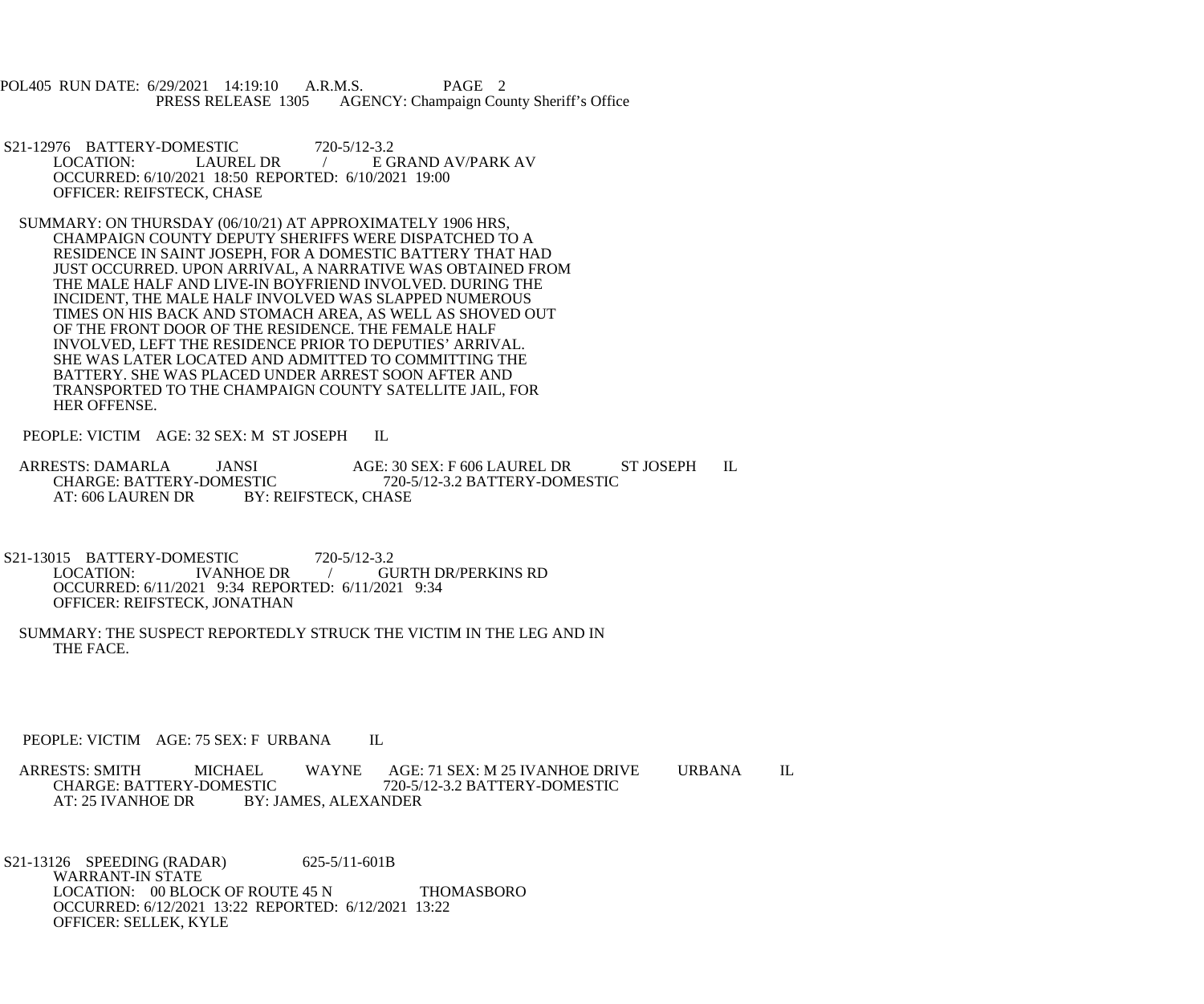POL405 RUN DATE: 6/29/2021 14:19:10 A.R.M.S. PAGE 2<br>PRESS RELEASE 1305 AGENCY: Champaign Cou AGENCY: Champaign County Sheriff's Office

S21-12976 BATTERY-DOMESTIC 720-5/12-3.2<br>LOCATION: LAUREL DR / E G / E GRAND AV/PARK AV OCCURRED: 6/10/2021 18:50 REPORTED: 6/10/2021 19:00 OFFICER: REIFSTECK, CHASE

 SUMMARY: ON THURSDAY (06/10/21) AT APPROXIMATELY 1906 HRS, CHAMPAIGN COUNTY DEPUTY SHERIFFS WERE DISPATCHED TO A RESIDENCE IN SAINT JOSEPH, FOR A DOMESTIC BATTERY THAT HAD JUST OCCURRED. UPON ARRIVAL, A NARRATIVE WAS OBTAINED FROM THE MALE HALF AND LIVE-IN BOYFRIEND INVOLVED. DURING THE INCIDENT, THE MALE HALF INVOLVED WAS SLAPPED NUMEROUS TIMES ON HIS BACK AND STOMACH AREA, AS WELL AS SHOVED OUT OF THE FRONT DOOR OF THE RESIDENCE. THE FEMALE HALF INVOLVED, LEFT THE RESIDENCE PRIOR TO DEPUTIES' ARRIVAL. SHE WAS LATER LOCATED AND ADMITTED TO COMMITTING THE BATTERY. SHE WAS PLACED UNDER ARREST SOON AFTER AND TRANSPORTED TO THE CHAMPAIGN COUNTY SATELLITE JAIL, FOR HER OFFENSE.

PEOPLE: VICTIM AGE: 32 SEX: M ST JOSEPH IL

ARRESTS: DAMARLA JANSI AGE: 30 SEX: F 606 LAUREL DR ST JOSEPH IL<br>CHARGE: BATTERY-DOMESTIC 720-5/12-3.2 BATTERY-DOMESTIC CHARGE: BATTERY-DOMESTIC 720-5/12-3.2 BATTERY-DOMESTIC<br>AT: 606 LAUREN DR BY: REIFSTECK. CHASE BY: REIFSTECK, CHASE

S21-13015 BATTERY-DOMESTIC 720-5/12-3.2<br>LOCATION: IVANHOE DR LOCATION: IVANHOE DR / GURTH DR/PERKINS RD OCCURRED: 6/11/2021 9:34 REPORTED: 6/11/2021 9:34 OFFICER: REIFSTECK, JONATHAN

 SUMMARY: THE SUSPECT REPORTEDLY STRUCK THE VICTIM IN THE LEG AND IN THE FACE.

PEOPLE: VICTIM AGE: 75 SEX: F URBANA IL

ARRESTS: SMITH MICHAEL WAYNE AGE: 71 SEX: M 25 IVANHOE DRIVE URBANA IL<br>CHARGE: BATTERY-DOMESTIC 720-5/12-3.2 BATTERY-DOMESTIC CHARGE: BATTERY-DOMESTIC 720-5/12-3.2 BATTERY-DOMESTIC<br>AT: 25 IVANHOE DR BY: JAMES, ALEXANDER **BY: JAMES, ALEXANDER** 

 S21-13126 SPEEDING (RADAR) 625-5/11-601B WARRANT-IN STATE LOCATION: 00 BLOCK OF ROUTE 45 N THOMASBORO OCCURRED: 6/12/2021 13:22 REPORTED: 6/12/2021 13:22 OFFICER: SELLEK, KYLE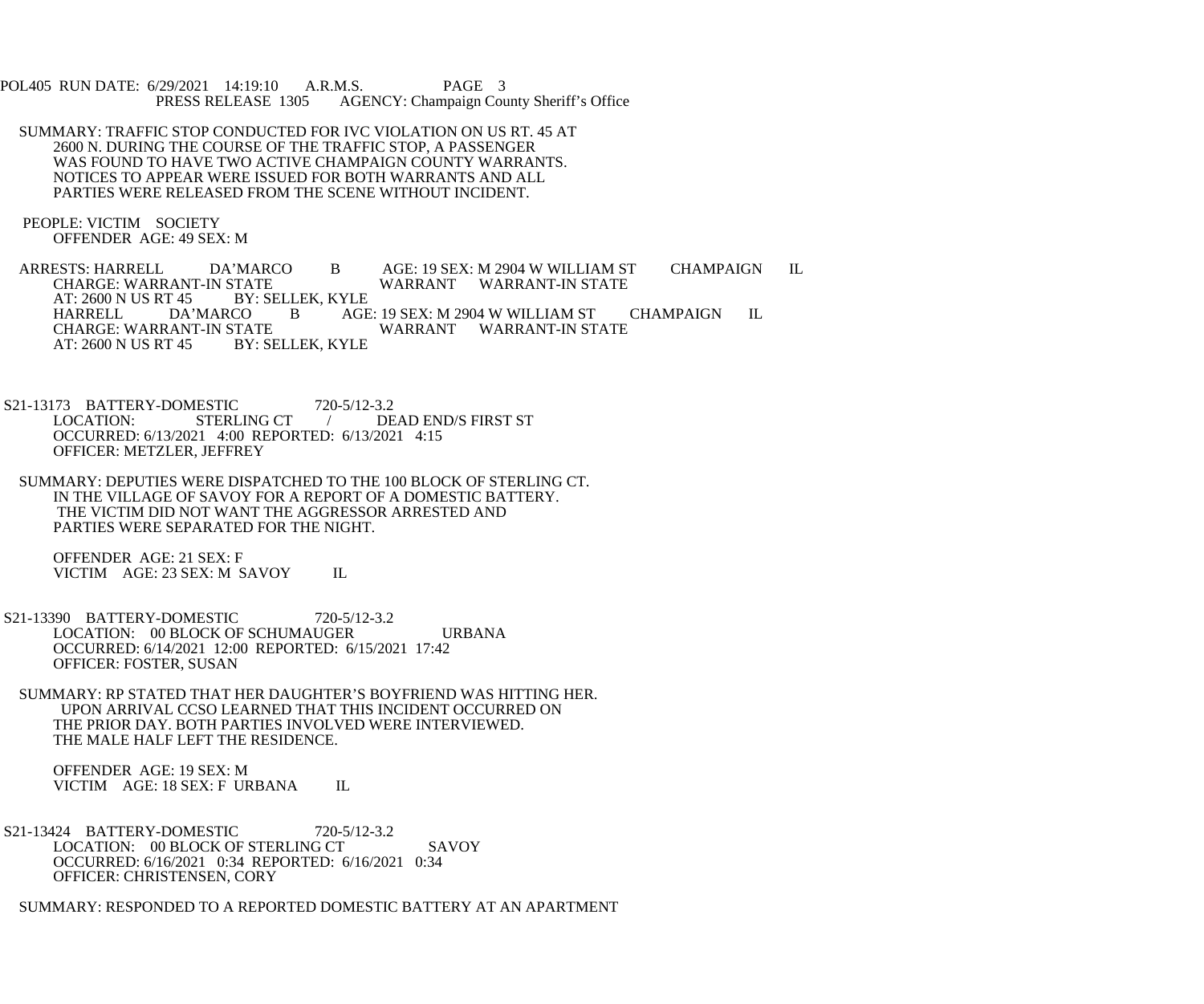POL405 RUN DATE: 6/29/2021 14:19:10 A.R.M.S. PAGE 3<br>PRESS RELEASE 1305 AGENCY: Champaign Cou AGENCY: Champaign County Sheriff's Office

- SUMMARY: TRAFFIC STOP CONDUCTED FOR IVC VIOLATION ON US RT. 45 AT 2600 N. DURING THE COURSE OF THE TRAFFIC STOP, A PASSENGER WAS FOUND TO HAVE TWO ACTIVE CHAMPAIGN COUNTY WARRANTS. NOTICES TO APPEAR WERE ISSUED FOR BOTH WARRANTS AND ALL PARTIES WERE RELEASED FROM THE SCENE WITHOUT INCIDENT.
- PEOPLE: VICTIM SOCIETY OFFENDER AGE: 49 SEX: M

 ARRESTS: HARRELL DA'MARCO B AGE: 19 SEX: M 2904 W WILLIAM ST CHAMPAIGN IL TATE WARRANT WARRANT-IN STATE BY: SELLEK, KYLE AT: 2600 N US RT 45 BY: SELLE<br>HARRELL DA'MARCO B HARRELL DA'MARCO B AGE: 19 SEX: M 2904 W WILLIAM ST CHAMPAIGN IL WARRANT WARRANT-IN STATE AT: 2600 N US RT 45 BY: SELLEK, KYLE

S21-13173 BATTERY-DOMESTIC 720-5/12-3.2<br>LOCATION: STERLING CT / DE *L* DEAD END/S FIRST ST OCCURRED: 6/13/2021 4:00 REPORTED: 6/13/2021 4:15 OFFICER: METZLER, JEFFREY

 SUMMARY: DEPUTIES WERE DISPATCHED TO THE 100 BLOCK OF STERLING CT. IN THE VILLAGE OF SAVOY FOR A REPORT OF A DOMESTIC BATTERY. THE VICTIM DID NOT WANT THE AGGRESSOR ARRESTED AND PARTIES WERE SEPARATED FOR THE NIGHT.

 OFFENDER AGE: 21 SEX: F VICTIM AGE: 23 SEX: M SAVOY IL

- S21-13390 BATTERY-DOMESTIC 720-5/12-3.2 LOCATION: 00 BLOCK OF SCHUMAUGER URBANA OCCURRED: 6/14/2021 12:00 REPORTED: 6/15/2021 17:42 OFFICER: FOSTER, SUSAN
	- SUMMARY: RP STATED THAT HER DAUGHTER'S BOYFRIEND WAS HITTING HER. UPON ARRIVAL CCSO LEARNED THAT THIS INCIDENT OCCURRED ON THE PRIOR DAY. BOTH PARTIES INVOLVED WERE INTERVIEWED. THE MALE HALF LEFT THE RESIDENCE.

 OFFENDER AGE: 19 SEX: M VICTIM AGE: 18 SEX: F URBANA IL

 S21-13424 BATTERY-DOMESTIC 720-5/12-3.2 LOCATION: 00 BLOCK OF STERLING CT SAVOY OCCURRED: 6/16/2021 0:34 REPORTED: 6/16/2021 0:34 OFFICER: CHRISTENSEN, CORY

SUMMARY: RESPONDED TO A REPORTED DOMESTIC BATTERY AT AN APARTMENT